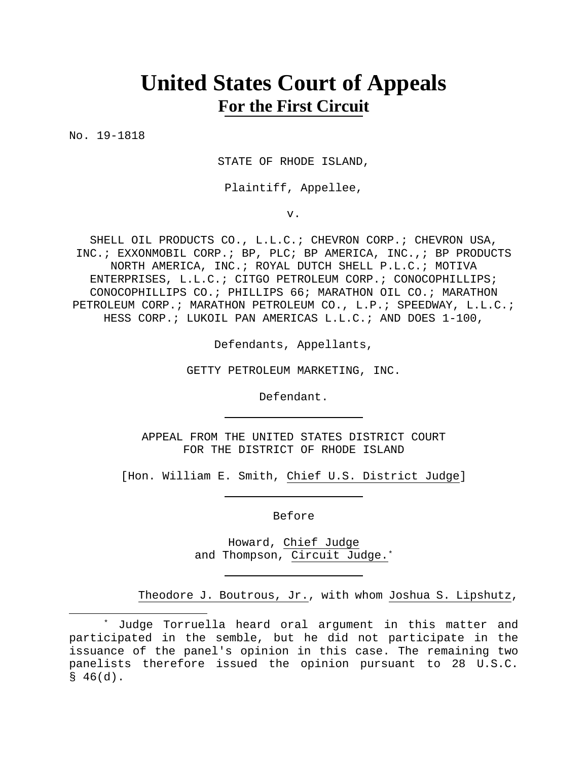# **United States Court of Appeals For the First Circuit**

No. 19-1818

STATE OF RHODE ISLAND,

Plaintiff, Appellee,

v.

SHELL OIL PRODUCTS CO., L.L.C.; CHEVRON CORP.; CHEVRON USA, INC.; EXXONMOBIL CORP.; BP, PLC; BP AMERICA, INC.,; BP PRODUCTS NORTH AMERICA, INC.; ROYAL DUTCH SHELL P.L.C.; MOTIVA ENTERPRISES, L.L.C.; CITGO PETROLEUM CORP.; CONOCOPHILLIPS; CONOCOPHILLIPS CO.; PHILLIPS 66; MARATHON OIL CO.; MARATHON PETROLEUM CORP.; MARATHON PETROLEUM CO., L.P.; SPEEDWAY, L.L.C.; HESS CORP.; LUKOIL PAN AMERICAS L.L.C.; AND DOES 1-100,

Defendants, Appellants,

GETTY PETROLEUM MARKETING, INC.

Defendant.

APPEAL FROM THE UNITED STATES DISTRICT COURT FOR THE DISTRICT OF RHODE ISLAND

[Hon. William E. Smith, Chief U.S. District Judge]

Before

Howard, Chief Judge and Thompson, Circuit Judge.\*

Theodore J. Boutrous, Jr., with whom Joshua S. Lipshutz,

<sup>\*</sup> Judge Torruella heard oral argument in this matter and participated in the semble, but he did not participate in the issuance of the panel's opinion in this case. The remaining two panelists therefore issued the opinion pursuant to 28 U.S.C.  $$46(d).$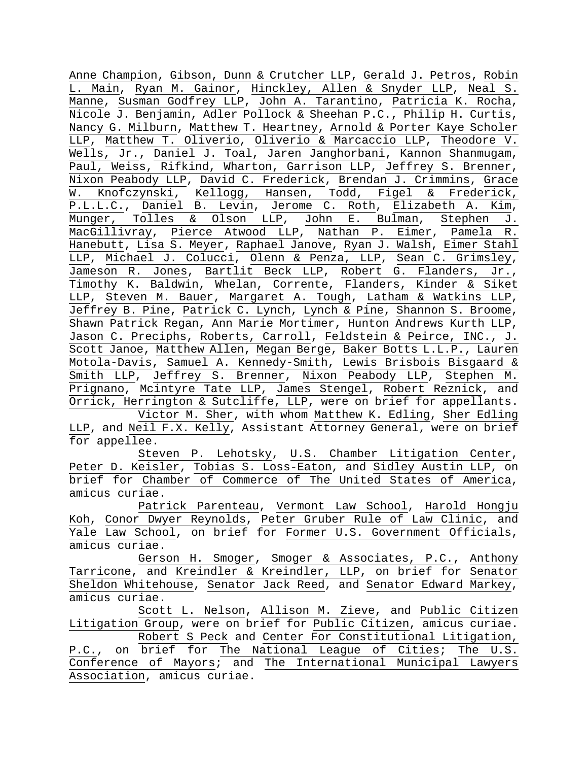Anne Champion, Gibson, Dunn & Crutcher LLP, Gerald J. Petros, Robin L. Main, Ryan M. Gainor, Hinckley, Allen & Snyder LLP, Neal S. Manne, Susman Godfrey LLP, John A. Tarantino, Patricia K. Rocha, Nicole J. Benjamin, Adler Pollock & Sheehan P.C., Philip H. Curtis, Nancy G. Milburn, Matthew T. Heartney, Arnold & Porter Kaye Scholer LLP, Matthew T. Oliverio, Oliverio & Marcaccio LLP, Theodore V. Wells, Jr., Daniel J. Toal, Jaren Janghorbani, Kannon Shanmugam, Paul, Weiss, Rifkind, Wharton, Garrison LLP, Jeffrey S. Brenner, Nixon Peabody LLP, David C. Frederick, Brendan J. Crimmins, Grace W. Knofczynski, Kellogg, Hansen, Todd, Figel & Frederick, P.L.L.C., Daniel B. Levin, Jerome C. Roth, Elizabeth A. Kim, Munger, Tolles & Olson LLP, John E. Bulman, Stephen J. MacGillivray, Pierce Atwood LLP, Nathan P. Eimer, Pamela R. Hanebutt, Lisa S. Meyer, Raphael Janove, Ryan J. Walsh, Eimer Stahl LLP, Michael J. Colucci, Olenn & Penza, LLP, Sean C. Grimsley, Jameson R. Jones, Bartlit Beck LLP, Robert G. Flanders, Jr., Timothy K. Baldwin, Whelan, Corrente, Flanders, Kinder & Siket LLP, Steven M. Bauer, Margaret A. Tough, Latham & Watkins LLP, Jeffrey B. Pine, Patrick C. Lynch, Lynch & Pine, Shannon S. Broome, Shawn Patrick Regan, Ann Marie Mortimer, Hunton Andrews Kurth LLP, Jason C. Preciphs, Roberts, Carroll, Feldstein & Peirce, INC., J. Scott Janoe, Matthew Allen, Megan Berge, Baker Botts L.L.P., Lauren Motola-Davis, Samuel A. Kennedy-Smith, Lewis Brisbois Bisgaard & Smith LLP, Jeffrey S. Brenner, Nixon Peabody LLP, Stephen M. Prignano, Mcintyre Tate LLP, James Stengel, Robert Reznick, and Orrick, Herrington & Sutcliffe, LLP, were on brief for appellants. Victor M. Sher, with whom Matthew K. Edling, Sher Edling LLP, and Neil F.X. Kelly, Assistant Attorney General, were on brief for appellee.

Steven P. Lehotsky, U.S. Chamber Litigation Center, Peter D. Keisler, Tobias S. Loss-Eaton, and Sidley Austin LLP, on brief for Chamber of Commerce of The United States of America, amicus curiae.

Patrick Parenteau, Vermont Law School, Harold Hongju Koh, Conor Dwyer Reynolds, Peter Gruber Rule of Law Clinic, and Yale Law School, on brief for Former U.S. Government Officials, amicus curiae.

Gerson H. Smoger, Smoger & Associates, P.C., Anthony Tarricone, and Kreindler & Kreindler, LLP, on brief for Senator Sheldon Whitehouse, Senator Jack Reed, and Senator Edward Markey, amicus curiae.

Scott L. Nelson, Allison M. Zieve, and Public Citizen Litigation Group, were on brief for Public Citizen, amicus curiae. Robert S Peck and Center For Constitutional Litigation, P.C., on brief for The National League of Cities; The U.S. Conference of Mayors; and The International Municipal Lawyers Association, amicus curiae.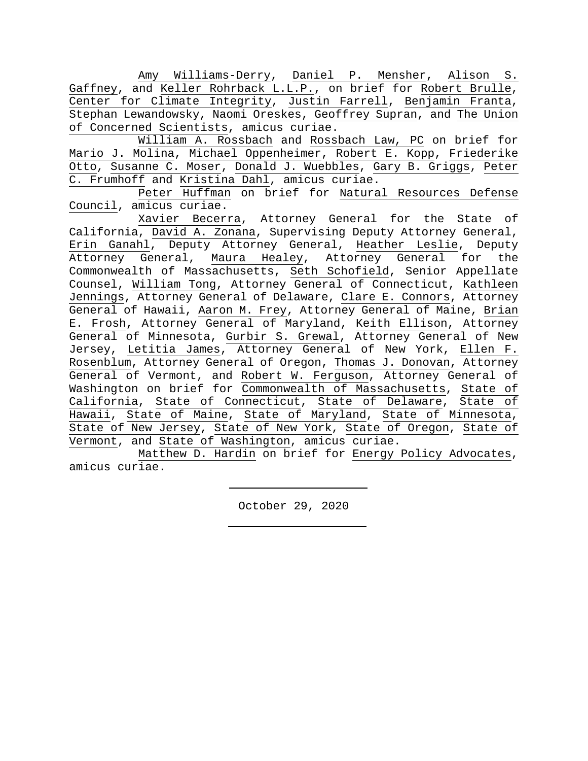Amy Williams-Derry, Daniel P. Mensher, Alison S. Gaffney, and Keller Rohrback L.L.P., on brief for Robert Brulle, Center for Climate Integrity, Justin Farrell, Benjamin Franta, Stephan Lewandowsky, Naomi Oreskes, Geoffrey Supran, and The Union of Concerned Scientists, amicus curiae.

William A. Rossbach and Rossbach Law, PC on brief for Mario J. Molina, Michael Oppenheimer, Robert E. Kopp, Friederike Otto, Susanne C. Moser, Donald J. Wuebbles, Gary B. Griggs, Peter C. Frumhoff and Kristina Dahl, amicus curiae.

Peter Huffman on brief for Natural Resources Defense Council, amicus curiae.

Xavier Becerra, Attorney General for the State of California, David A. Zonana, Supervising Deputy Attorney General, Erin Ganahl, Deputy Attorney General, Heather Leslie, Deputy Attorney General, Maura Healey, Attorney General for the Commonwealth of Massachusetts, Seth Schofield, Senior Appellate Counsel, William Tong, Attorney General of Connecticut, Kathleen Jennings, Attorney General of Delaware, Clare E. Connors, Attorney General of Hawaii, Aaron M. Frey, Attorney General of Maine, Brian E. Frosh, Attorney General of Maryland, Keith Ellison, Attorney General of Minnesota, Gurbir S. Grewal, Attorney General of New Jersey, Letitia James, Attorney General of New York, Ellen F. Rosenblum, Attorney General of Oregon, Thomas J. Donovan, Attorney General of Vermont, and Robert W. Ferguson, Attorney General of Washington on brief for Commonwealth of Massachusetts, State of California, State of Connecticut, State of Delaware, State of Hawaii, State of Maine, State of Maryland, State of Minnesota, State of New Jersey, State of New York, State of Oregon, State of Vermont, and State of Washington, amicus curiae.

Matthew D. Hardin on brief for Energy Policy Advocates, amicus curiae.

October 29, 2020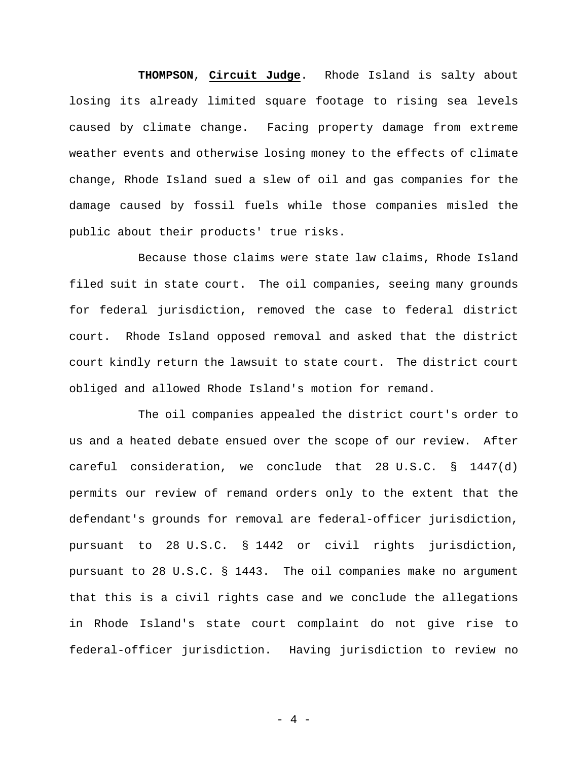**THOMPSON**, **Circuit Judge**. Rhode Island is salty about losing its already limited square footage to rising sea levels caused by climate change. Facing property damage from extreme weather events and otherwise losing money to the effects of climate change, Rhode Island sued a slew of oil and gas companies for the damage caused by fossil fuels while those companies misled the public about their products' true risks.

Because those claims were state law claims, Rhode Island filed suit in state court. The oil companies, seeing many grounds for federal jurisdiction, removed the case to federal district court. Rhode Island opposed removal and asked that the district court kindly return the lawsuit to state court. The district court obliged and allowed Rhode Island's motion for remand.

The oil companies appealed the district court's order to us and a heated debate ensued over the scope of our review. After careful consideration, we conclude that 28 U.S.C. § 1447(d) permits our review of remand orders only to the extent that the defendant's grounds for removal are federal-officer jurisdiction, pursuant to 28 U.S.C. § 1442 or civil rights jurisdiction, pursuant to 28 U.S.C. § 1443. The oil companies make no argument that this is a civil rights case and we conclude the allegations in Rhode Island's state court complaint do not give rise to federal-officer jurisdiction. Having jurisdiction to review no

- 4 -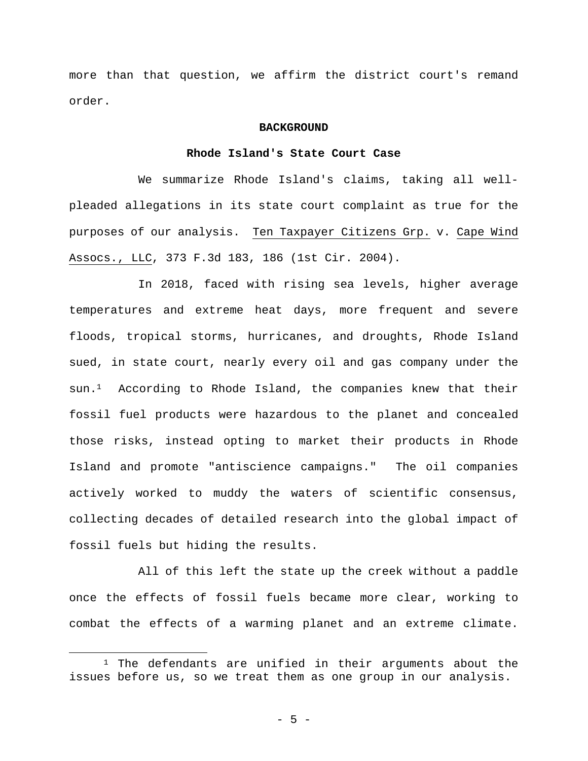more than that question, we affirm the district court's remand order.

#### **BACKGROUND**

## **Rhode Island's State Court Case**

We summarize Rhode Island's claims, taking all wellpleaded allegations in its state court complaint as true for the purposes of our analysis. Ten Taxpayer Citizens Grp. v. Cape Wind Assocs., LLC, 373 F.3d 183, 186 (1st Cir. 2004).

In 2018, faced with rising sea levels, higher average temperatures and extreme heat days, more frequent and severe floods, tropical storms, hurricanes, and droughts, Rhode Island sued, in state court, nearly every oil and gas company under the sun.1 According to Rhode Island, the companies knew that their fossil fuel products were hazardous to the planet and concealed those risks, instead opting to market their products in Rhode Island and promote "antiscience campaigns." The oil companies actively worked to muddy the waters of scientific consensus, collecting decades of detailed research into the global impact of fossil fuels but hiding the results.

All of this left the state up the creek without a paddle once the effects of fossil fuels became more clear, working to combat the effects of a warming planet and an extreme climate.

<sup>&</sup>lt;sup>1</sup> The defendants are unified in their arguments about the issues before us, so we treat them as one group in our analysis.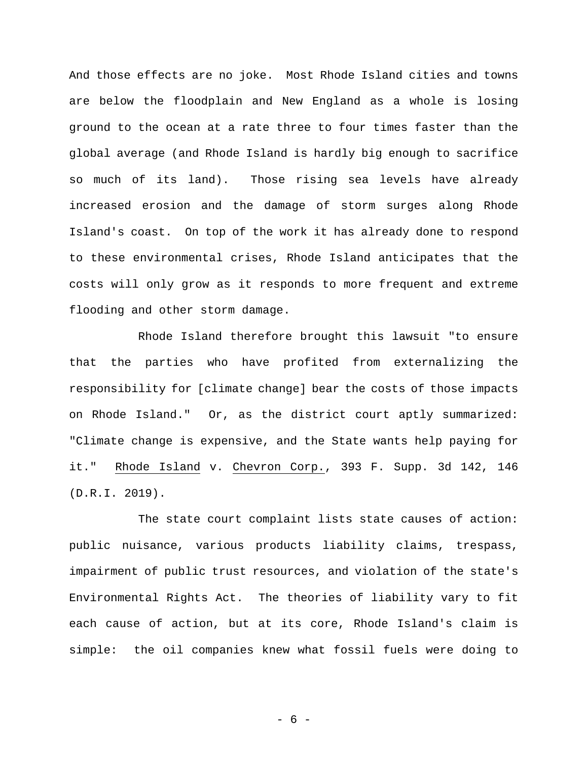And those effects are no joke. Most Rhode Island cities and towns are below the floodplain and New England as a whole is losing ground to the ocean at a rate three to four times faster than the global average (and Rhode Island is hardly big enough to sacrifice so much of its land). Those rising sea levels have already increased erosion and the damage of storm surges along Rhode Island's coast. On top of the work it has already done to respond to these environmental crises, Rhode Island anticipates that the costs will only grow as it responds to more frequent and extreme flooding and other storm damage.

Rhode Island therefore brought this lawsuit "to ensure that the parties who have profited from externalizing the responsibility for [climate change] bear the costs of those impacts on Rhode Island." Or, as the district court aptly summarized: "Climate change is expensive, and the State wants help paying for it." Rhode Island v. Chevron Corp., 393 F. Supp. 3d 142, 146 (D.R.I. 2019).

The state court complaint lists state causes of action: public nuisance, various products liability claims, trespass, impairment of public trust resources, and violation of the state's Environmental Rights Act. The theories of liability vary to fit each cause of action, but at its core, Rhode Island's claim is simple: the oil companies knew what fossil fuels were doing to

- 6 -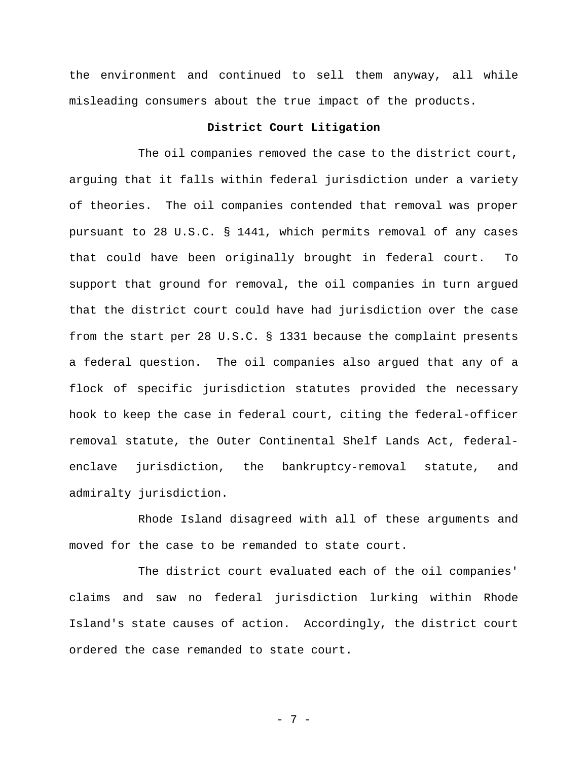the environment and continued to sell them anyway, all while misleading consumers about the true impact of the products.

## **District Court Litigation**

The oil companies removed the case to the district court, arguing that it falls within federal jurisdiction under a variety of theories. The oil companies contended that removal was proper pursuant to 28 U.S.C. § 1441, which permits removal of any cases that could have been originally brought in federal court. To support that ground for removal, the oil companies in turn argued that the district court could have had jurisdiction over the case from the start per 28 U.S.C. § 1331 because the complaint presents a federal question. The oil companies also argued that any of a flock of specific jurisdiction statutes provided the necessary hook to keep the case in federal court, citing the federal-officer removal statute, the Outer Continental Shelf Lands Act, federalenclave jurisdiction, the bankruptcy-removal statute, and admiralty jurisdiction.

Rhode Island disagreed with all of these arguments and moved for the case to be remanded to state court.

The district court evaluated each of the oil companies' claims and saw no federal jurisdiction lurking within Rhode Island's state causes of action. Accordingly, the district court ordered the case remanded to state court.

- 7 -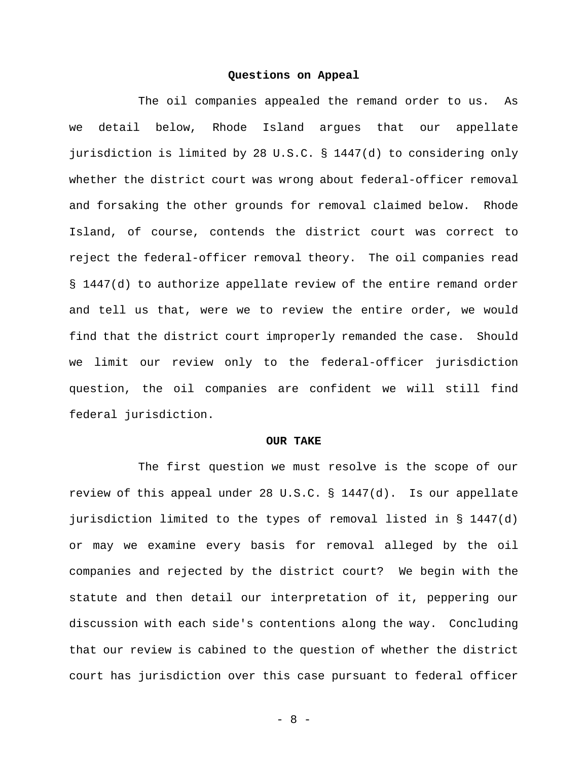#### **Questions on Appeal**

The oil companies appealed the remand order to us. As we detail below, Rhode Island argues that our appellate jurisdiction is limited by 28 U.S.C. § 1447(d) to considering only whether the district court was wrong about federal-officer removal and forsaking the other grounds for removal claimed below. Rhode Island, of course, contends the district court was correct to reject the federal-officer removal theory. The oil companies read § 1447(d) to authorize appellate review of the entire remand order and tell us that, were we to review the entire order, we would find that the district court improperly remanded the case. Should we limit our review only to the federal-officer jurisdiction question, the oil companies are confident we will still find federal jurisdiction.

#### **OUR TAKE**

The first question we must resolve is the scope of our review of this appeal under 28 U.S.C. § 1447(d). Is our appellate jurisdiction limited to the types of removal listed in  $\S$  1447(d) or may we examine every basis for removal alleged by the oil companies and rejected by the district court? We begin with the statute and then detail our interpretation of it, peppering our discussion with each side's contentions along the way. Concluding that our review is cabined to the question of whether the district court has jurisdiction over this case pursuant to federal officer

- 8 -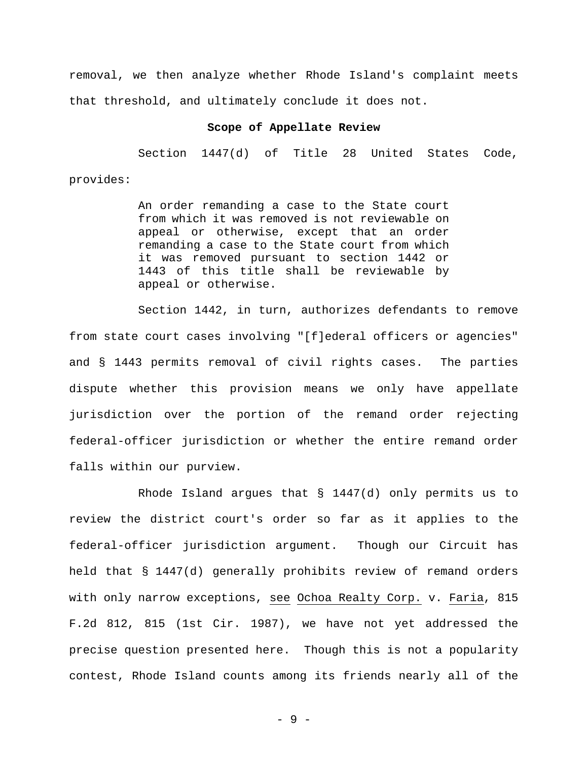removal, we then analyze whether Rhode Island's complaint meets that threshold, and ultimately conclude it does not.

## **Scope of Appellate Review**

Section 1447(d) of Title 28 United States Code, provides:

> An order remanding a case to the State court from which it was removed is not reviewable on appeal or otherwise, except that an order remanding a case to the State court from which it was removed pursuant to section 1442 or 1443 of this title shall be reviewable by appeal or otherwise.

Section 1442, in turn, authorizes defendants to remove from state court cases involving "[f]ederal officers or agencies" and § 1443 permits removal of civil rights cases. The parties dispute whether this provision means we only have appellate jurisdiction over the portion of the remand order rejecting federal-officer jurisdiction or whether the entire remand order falls within our purview.

Rhode Island argues that § 1447(d) only permits us to review the district court's order so far as it applies to the federal-officer jurisdiction argument. Though our Circuit has held that § 1447(d) generally prohibits review of remand orders with only narrow exceptions, see Ochoa Realty Corp. v. Faria, 815 F.2d 812, 815 (1st Cir. 1987), we have not yet addressed the precise question presented here. Though this is not a popularity contest, Rhode Island counts among its friends nearly all of the

- 9 -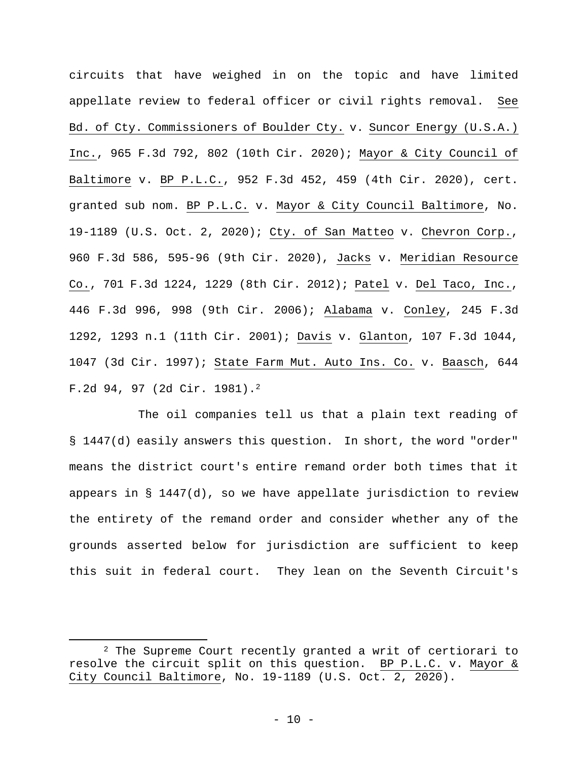circuits that have weighed in on the topic and have limited appellate review to federal officer or civil rights removal. See Bd. of Cty. Commissioners of Boulder Cty. v. Suncor Energy (U.S.A.) Inc., 965 F.3d 792, 802 (10th Cir. 2020); Mayor & City Council of Baltimore v. BP P.L.C., 952 F.3d 452, 459 (4th Cir. 2020), cert. granted sub nom. BP P.L.C. v. Mayor & City Council Baltimore, No. 19-1189 (U.S. Oct. 2, 2020); Cty. of San Matteo v. Chevron Corp., 960 F.3d 586, 595-96 (9th Cir. 2020), Jacks v. Meridian Resource Co., 701 F.3d 1224, 1229 (8th Cir. 2012); Patel v. Del Taco, Inc., 446 F.3d 996, 998 (9th Cir. 2006); Alabama v. Conley, 245 F.3d 1292, 1293 n.1 (11th Cir. 2001); Davis v. Glanton, 107 F.3d 1044, 1047 (3d Cir. 1997); State Farm Mut. Auto Ins. Co. v. Baasch, 644 F.2d 94, 97 (2d Cir. 1981).2

The oil companies tell us that a plain text reading of § 1447(d) easily answers this question. In short, the word "order" means the district court's entire remand order both times that it appears in  $\S$  1447(d), so we have appellate jurisdiction to review the entirety of the remand order and consider whether any of the grounds asserted below for jurisdiction are sufficient to keep this suit in federal court. They lean on the Seventh Circuit's

<sup>2</sup> The Supreme Court recently granted a writ of certiorari to resolve the circuit split on this question. BP P.L.C. v. Mayor & City Council Baltimore, No. 19-1189 (U.S. Oct. 2, 2020).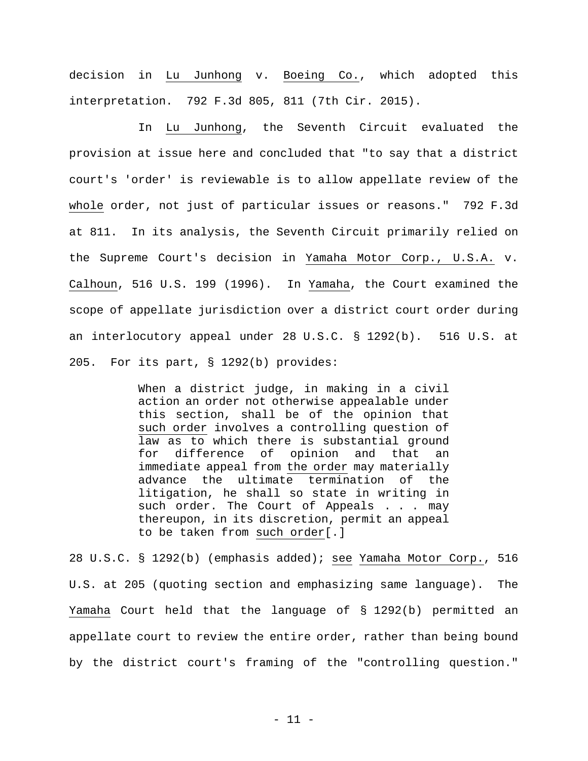decision in Lu Junhong v. Boeing Co., which adopted this interpretation. 792 F.3d 805, 811 (7th Cir. 2015).

In Lu Junhong, the Seventh Circuit evaluated the provision at issue here and concluded that "to say that a district court's 'order' is reviewable is to allow appellate review of the whole order, not just of particular issues or reasons." 792 F.3d at 811. In its analysis, the Seventh Circuit primarily relied on the Supreme Court's decision in Yamaha Motor Corp., U.S.A. v. Calhoun, 516 U.S. 199 (1996). In Yamaha, the Court examined the scope of appellate jurisdiction over a district court order during an interlocutory appeal under 28 U.S.C. § 1292(b). 516 U.S. at 205. For its part, § 1292(b) provides:

> When a district judge, in making in a civil action an order not otherwise appealable under this section, shall be of the opinion that such order involves a controlling question of law as to which there is substantial ground for difference of opinion and that an immediate appeal from the order may materially advance the ultimate termination of the litigation, he shall so state in writing in such order. The Court of Appeals . . . may thereupon, in its discretion, permit an appeal to be taken from such order[.]

28 U.S.C. § 1292(b) (emphasis added); see Yamaha Motor Corp., 516 U.S. at 205 (quoting section and emphasizing same language). The Yamaha Court held that the language of § 1292(b) permitted an appellate court to review the entire order, rather than being bound by the district court's framing of the "controlling question."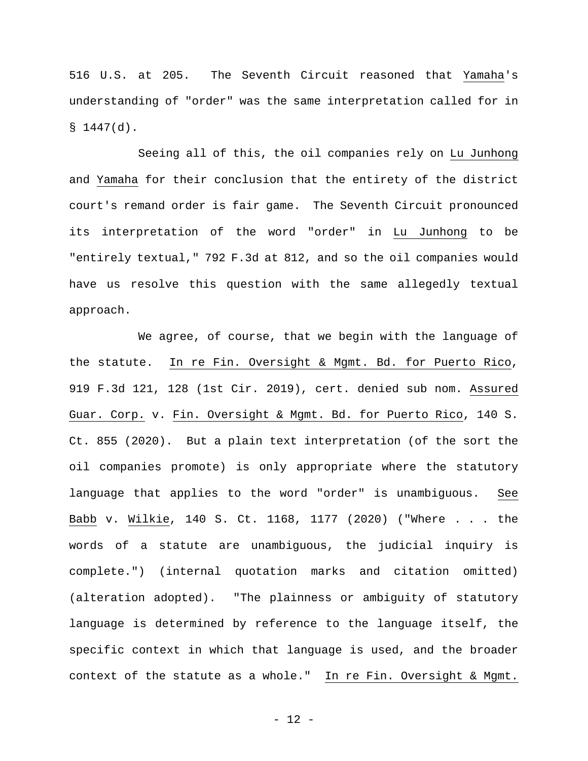516 U.S. at 205. The Seventh Circuit reasoned that Yamaha's understanding of "order" was the same interpretation called for in  $$1447(d).$ 

 Seeing all of this, the oil companies rely on Lu Junhong and Yamaha for their conclusion that the entirety of the district court's remand order is fair game. The Seventh Circuit pronounced its interpretation of the word "order" in Lu Junhong to be "entirely textual," 792 F.3d at 812, and so the oil companies would have us resolve this question with the same allegedly textual approach.

We agree, of course, that we begin with the language of the statute. In re Fin. Oversight & Mgmt. Bd. for Puerto Rico, 919 F.3d 121, 128 (1st Cir. 2019), cert. denied sub nom. Assured Guar. Corp. v. Fin. Oversight & Mgmt. Bd. for Puerto Rico, 140 S. Ct. 855 (2020). But a plain text interpretation (of the sort the oil companies promote) is only appropriate where the statutory language that applies to the word "order" is unambiguous. See Babb v. Wilkie, 140 S. Ct. 1168, 1177 (2020) ("Where . . . the words of a statute are unambiguous, the judicial inquiry is complete.") (internal quotation marks and citation omitted) (alteration adopted). "The plainness or ambiguity of statutory language is determined by reference to the language itself, the specific context in which that language is used, and the broader context of the statute as a whole." In re Fin. Oversight & Mgmt.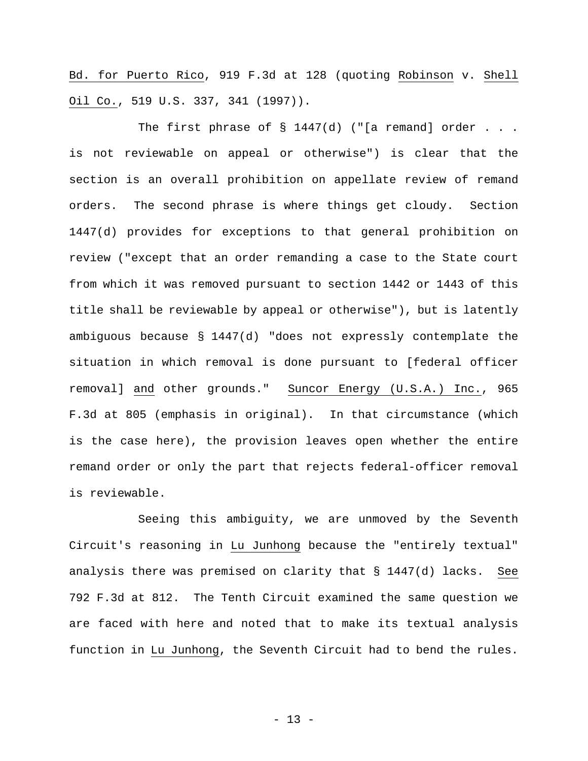Bd. for Puerto Rico, 919 F.3d at 128 (quoting Robinson v. Shell Oil Co., 519 U.S. 337, 341 (1997)).

The first phrase of  $\S$  1447(d) ("[a remand] order . . . is not reviewable on appeal or otherwise") is clear that the section is an overall prohibition on appellate review of remand orders. The second phrase is where things get cloudy. Section 1447(d) provides for exceptions to that general prohibition on review ("except that an order remanding a case to the State court from which it was removed pursuant to section 1442 or 1443 of this title shall be reviewable by appeal or otherwise"), but is latently ambiguous because § 1447(d) "does not expressly contemplate the situation in which removal is done pursuant to [federal officer removal] and other grounds." Suncor Energy (U.S.A.) Inc., 965 F.3d at 805 (emphasis in original). In that circumstance (which is the case here), the provision leaves open whether the entire remand order or only the part that rejects federal-officer removal is reviewable.

Seeing this ambiguity, we are unmoved by the Seventh Circuit's reasoning in Lu Junhong because the "entirely textual" analysis there was premised on clarity that § 1447(d) lacks. See 792 F.3d at 812. The Tenth Circuit examined the same question we are faced with here and noted that to make its textual analysis function in Lu Junhong, the Seventh Circuit had to bend the rules.

- 13 -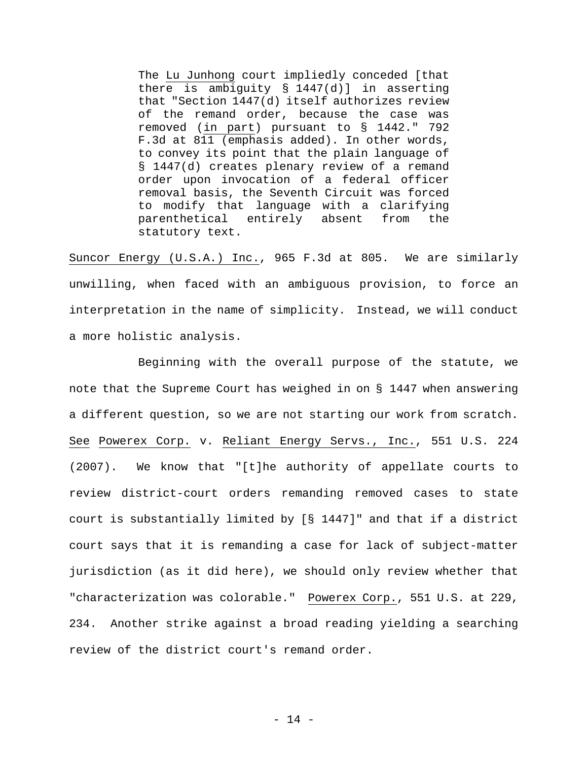The Lu Junhong court impliedly conceded [that there is ambiguity § 1447(d)] in asserting that "Section 1447(d) itself authorizes review of the remand order, because the case was removed (in part) pursuant to § 1442." 792 F.3d at 811 (emphasis added). In other words, to convey its point that the plain language of § 1447(d) creates plenary review of a remand order upon invocation of a federal officer removal basis, the Seventh Circuit was forced to modify that language with a clarifying parenthetical entirely absent from the statutory text.

Suncor Energy (U.S.A.) Inc., 965 F.3d at 805. We are similarly unwilling, when faced with an ambiguous provision, to force an interpretation in the name of simplicity. Instead, we will conduct a more holistic analysis.

Beginning with the overall purpose of the statute, we note that the Supreme Court has weighed in on § 1447 when answering a different question, so we are not starting our work from scratch. See Powerex Corp. v. Reliant Energy Servs., Inc., 551 U.S. 224 (2007). We know that "[t]he authority of appellate courts to review district-court orders remanding removed cases to state court is substantially limited by [§ 1447]" and that if a district court says that it is remanding a case for lack of subject-matter jurisdiction (as it did here), we should only review whether that "characterization was colorable." Powerex Corp., 551 U.S. at 229, 234. Another strike against a broad reading yielding a searching review of the district court's remand order.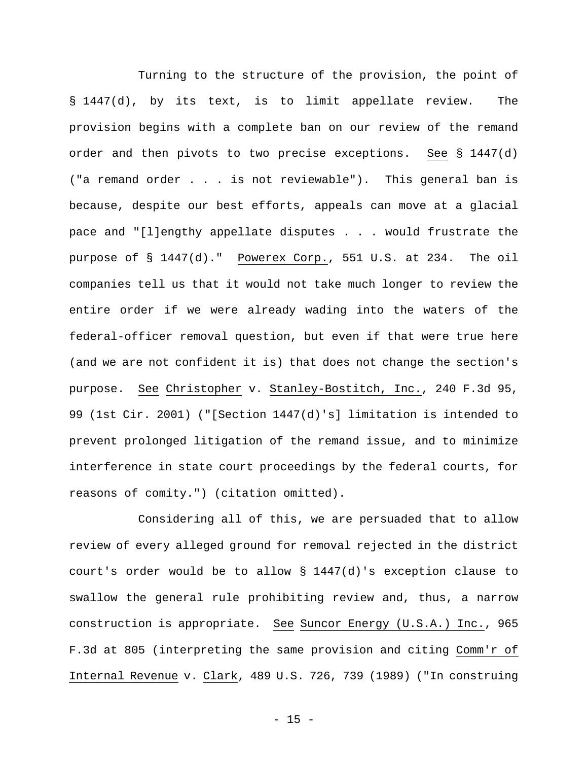Turning to the structure of the provision, the point of § 1447(d), by its text, is to limit appellate review. The provision begins with a complete ban on our review of the remand order and then pivots to two precise exceptions. See § 1447(d) ("a remand order . . . is not reviewable"). This general ban is because, despite our best efforts, appeals can move at a glacial pace and "[l]engthy appellate disputes . . . would frustrate the purpose of § 1447(d)." Powerex Corp., 551 U.S. at 234. The oil companies tell us that it would not take much longer to review the entire order if we were already wading into the waters of the federal-officer removal question, but even if that were true here (and we are not confident it is) that does not change the section's purpose. See Christopher v. Stanley-Bostitch, Inc., 240 F.3d 95, 99 (1st Cir. 2001) ("[Section 1447(d)'s] limitation is intended to prevent prolonged litigation of the remand issue, and to minimize interference in state court proceedings by the federal courts, for reasons of comity.") (citation omitted).

Considering all of this, we are persuaded that to allow review of every alleged ground for removal rejected in the district court's order would be to allow § 1447(d)'s exception clause to swallow the general rule prohibiting review and, thus, a narrow construction is appropriate. See Suncor Energy (U.S.A.) Inc., 965 F.3d at 805 (interpreting the same provision and citing Comm'r of Internal Revenue v. Clark, 489 U.S. 726, 739 (1989) ("In construing

 $- 15 -$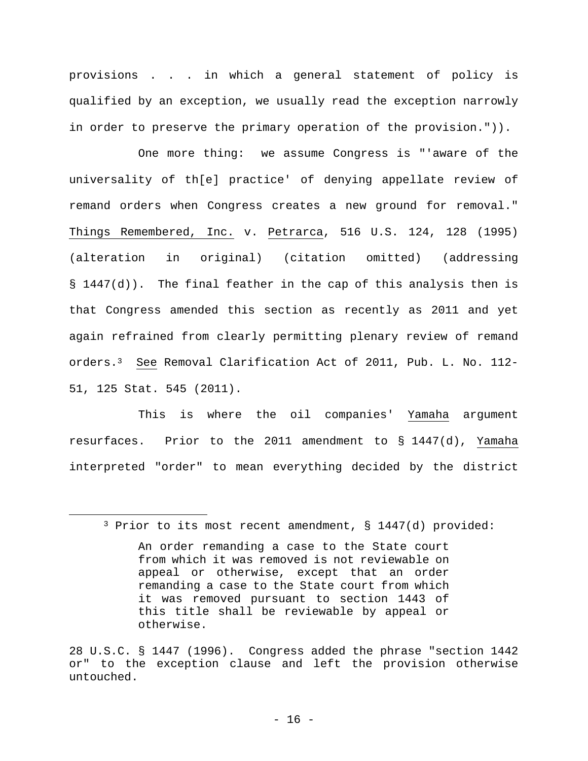provisions . . . in which a general statement of policy is qualified by an exception, we usually read the exception narrowly in order to preserve the primary operation of the provision.")).

One more thing: we assume Congress is "'aware of the universality of th[e] practice' of denying appellate review of remand orders when Congress creates a new ground for removal." Things Remembered, Inc. v. Petrarca, 516 U.S. 124, 128 (1995) (alteration in original) (citation omitted) (addressing § 1447(d)). The final feather in the cap of this analysis then is that Congress amended this section as recently as 2011 and yet again refrained from clearly permitting plenary review of remand orders.3 See Removal Clarification Act of 2011, Pub. L. No. 112- 51, 125 Stat. 545 (2011).

This is where the oil companies' Yamaha argument resurfaces. Prior to the 2011 amendment to § 1447(d), Yamaha interpreted "order" to mean everything decided by the district

28 U.S.C. § 1447 (1996). Congress added the phrase "section 1442 or" to the exception clause and left the provision otherwise untouched.

<sup>3</sup> Prior to its most recent amendment, § 1447(d) provided: An order remanding a case to the State court from which it was removed is not reviewable on appeal or otherwise, except that an order remanding a case to the State court from which it was removed pursuant to section 1443 of this title shall be reviewable by appeal or otherwise.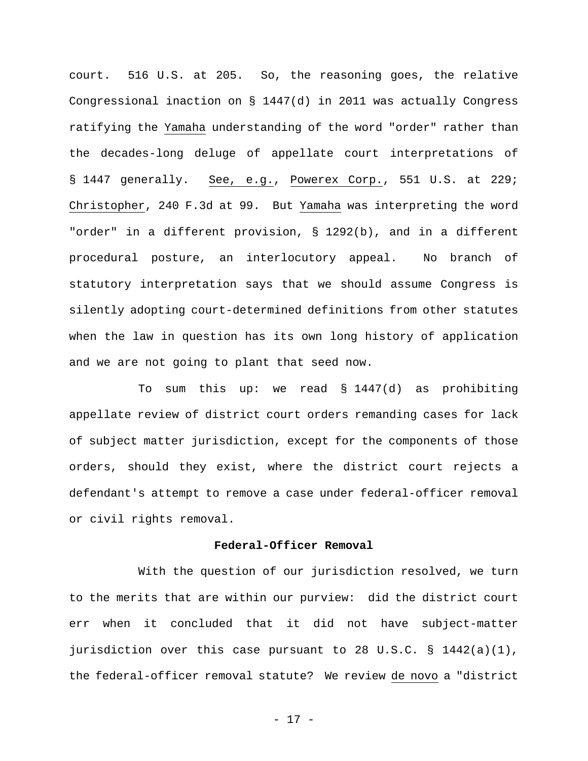court. 516 U.S. at 205. So, the reasoning goes, the relative Congressional inaction on § 1447(d) in 2011 was actually Congress ratifying the Yamaha understanding of the word "order" rather than the decades-long deluge of appellate court interpretations of § 1447 generally. See, e.g., Powerex Corp., 551 U.S. at 229; Christopher, 240 F.3d at 99. But Yamaha was interpreting the word "order" in a different provision, § 1292(b), and in a different procedural posture, an interlocutory appeal. No branch of statutory interpretation says that we should assume Congress is silently adopting court-determined definitions from other statutes when the law in question has its own long history of application and we are not going to plant that seed now.

To sum this up: we read § 1447(d) as prohibiting appellate review of district court orders remanding cases for lack of subject matter jurisdiction, except for the components of those orders, should they exist, where the district court rejects a defendant's attempt to remove a case under federal-officer removal or civil rights removal.

## **Federal-Officer Removal**

With the question of our jurisdiction resolved, we turn to the merits that are within our purview: did the district court err when it concluded that it did not have subject-matter jurisdiction over this case pursuant to 28 U.S.C. § 1442(a)(1), the federal-officer removal statute? We review de novo a "district

- 17 -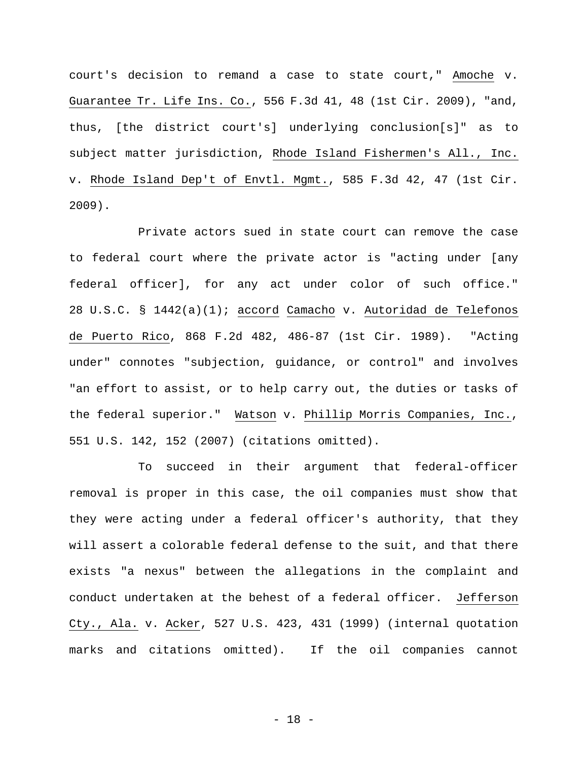court's decision to remand a case to state court," Amoche v. Guarantee Tr. Life Ins. Co., 556 F.3d 41, 48 (1st Cir. 2009), "and, thus, [the district court's] underlying conclusion[s]" as to subject matter jurisdiction, Rhode Island Fishermen's All., Inc. v. Rhode Island Dep't of Envtl. Mgmt., 585 F.3d 42, 47 (1st Cir. 2009).

Private actors sued in state court can remove the case to federal court where the private actor is "acting under [any federal officer], for any act under color of such office." 28 U.S.C. § 1442(a)(1); accord Camacho v. Autoridad de Telefonos de Puerto Rico, 868 F.2d 482, 486-87 (1st Cir. 1989). "Acting under" connotes "subjection, guidance, or control" and involves "an effort to assist, or to help carry out, the duties or tasks of the federal superior." Matson v. Phillip Morris Companies, Inc., 551 U.S. 142, 152 (2007) (citations omitted).

To succeed in their argument that federal-officer removal is proper in this case, the oil companies must show that they were acting under a federal officer's authority, that they will assert a colorable federal defense to the suit, and that there exists "a nexus" between the allegations in the complaint and conduct undertaken at the behest of a federal officer. Jefferson Cty., Ala. v. Acker, 527 U.S. 423, 431 (1999) (internal quotation marks and citations omitted). If the oil companies cannot

- 18 -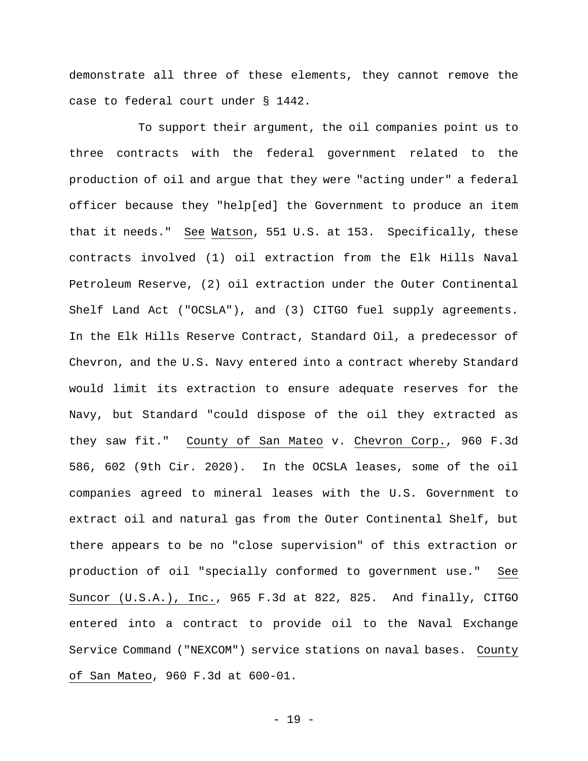demonstrate all three of these elements, they cannot remove the case to federal court under § 1442.

To support their argument, the oil companies point us to three contracts with the federal government related to the production of oil and argue that they were "acting under" a federal officer because they "help[ed] the Government to produce an item that it needs." See Watson, 551 U.S. at 153. Specifically, these contracts involved (1) oil extraction from the Elk Hills Naval Petroleum Reserve, (2) oil extraction under the Outer Continental Shelf Land Act ("OCSLA"), and (3) CITGO fuel supply agreements. In the Elk Hills Reserve Contract, Standard Oil, a predecessor of Chevron, and the U.S. Navy entered into a contract whereby Standard would limit its extraction to ensure adequate reserves for the Navy, but Standard "could dispose of the oil they extracted as they saw fit." County of San Mateo v. Chevron Corp., 960 F.3d 586, 602 (9th Cir. 2020). In the OCSLA leases, some of the oil companies agreed to mineral leases with the U.S. Government to extract oil and natural gas from the Outer Continental Shelf, but there appears to be no "close supervision" of this extraction or production of oil "specially conformed to government use." See Suncor (U.S.A.), Inc., 965 F.3d at 822, 825. And finally, CITGO entered into a contract to provide oil to the Naval Exchange Service Command ("NEXCOM") service stations on naval bases. County of San Mateo, 960 F.3d at 600-01.